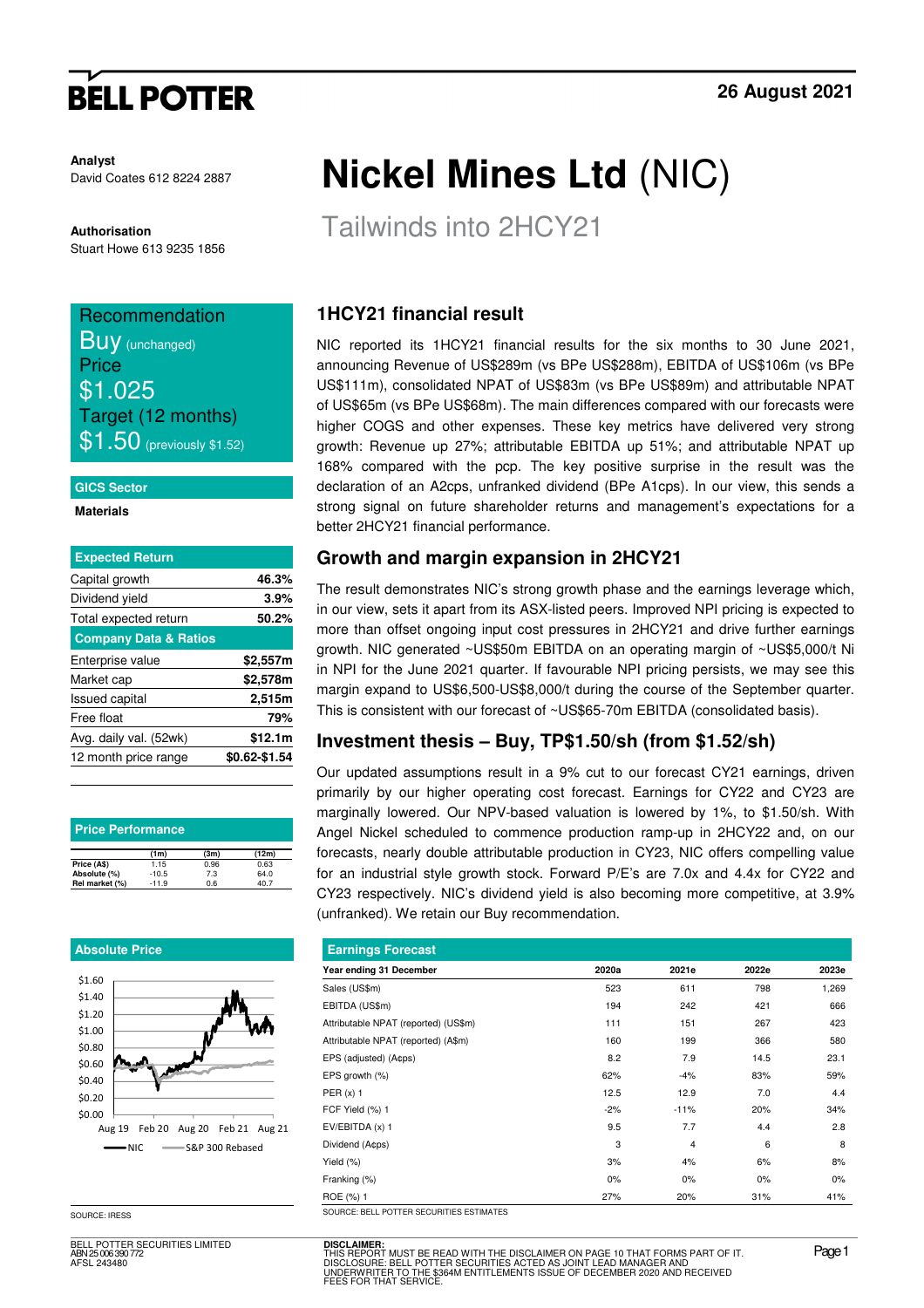# **BELL POTTER**

**Analyst** David Coates 612 8224 2887

**Authorisation**  Stuart Howe 613 9235 1856

### Recommendation

**Buy** (unchanged) **Price** \$1.025 Target (12 months)  $\$1.50$  (previously \$1.52)

#### **GICS Sector**

**Materials** 

| <b>Expected Return</b>           |               |
|----------------------------------|---------------|
| Capital growth                   | 46.3%         |
| Dividend yield                   | 3.9%          |
| Total expected return            | 50.2%         |
| <b>Company Data &amp; Ratios</b> |               |
| Enterprise value                 | \$2,557m      |
| Market cap                       | \$2,578m      |
| <b>Issued capital</b>            | 2,515m        |
| Free float                       | 79%           |
| Avg. daily val. (52wk)           | \$12.1m       |
| 12 month price range             | \$0.62-\$1.54 |

| <b>Price Performance</b> |         |      |       |  |  |  |  |  |  |
|--------------------------|---------|------|-------|--|--|--|--|--|--|
|                          | (1m)    | (3m) | (12m) |  |  |  |  |  |  |
| Price (A\$)              | 1.15    | 0.96 | 0.63  |  |  |  |  |  |  |
| Absolute (%)             | $-10.5$ | 7.3  | 64.0  |  |  |  |  |  |  |
| Rel market (%)           | $-11.9$ | 0.6  | 40.7  |  |  |  |  |  |  |

### **Absolute Price**



BELL POTTER SECURITIES LIMITED ABN 25 006 390 772 AFSL 243480

# **Nickel Mines Ltd** (NIC)

Tailwinds into 2HCY21

## **1HCY21 financial result**

NIC reported its 1HCY21 financial results for the six months to 30 June 2021, announcing Revenue of US\$289m (vs BPe US\$288m), EBITDA of US\$106m (vs BPe US\$111m), consolidated NPAT of US\$83m (vs BPe US\$89m) and attributable NPAT of US\$65m (vs BPe US\$68m). The main differences compared with our forecasts were higher COGS and other expenses. These key metrics have delivered very strong growth: Revenue up 27%; attributable EBITDA up 51%; and attributable NPAT up 168% compared with the pcp. The key positive surprise in the result was the declaration of an A2cps, unfranked dividend (BPe A1cps). In our view, this sends a strong signal on future shareholder returns and management's expectations for a better 2HCY21 financial performance.

## **Growth and margin expansion in 2HCY21**

The result demonstrates NIC's strong growth phase and the earnings leverage which, in our view, sets it apart from its ASX-listed peers. Improved NPI pricing is expected to more than offset ongoing input cost pressures in 2HCY21 and drive further earnings growth. NIC generated ~US\$50m EBITDA on an operating margin of ~US\$5,000/t Ni in NPI for the June 2021 quarter. If favourable NPI pricing persists, we may see this margin expand to US\$6,500-US\$8,000/t during the course of the September quarter. This is consistent with our forecast of ~US\$65-70m EBITDA (consolidated basis).

## **Investment thesis – Buy, TP\$1.50/sh (from \$1.52/sh)**

Our updated assumptions result in a 9% cut to our forecast CY21 earnings, driven primarily by our higher operating cost forecast. Earnings for CY22 and CY23 are marginally lowered. Our NPV-based valuation is lowered by 1%, to \$1.50/sh. With Angel Nickel scheduled to commence production ramp-up in 2HCY22 and, on our forecasts, nearly double attributable production in CY23, NIC offers compelling value for an industrial style growth stock. Forward P/E's are 7.0x and 4.4x for CY22 and CY23 respectively. NIC's dividend yield is also becoming more competitive, at 3.9% (unfranked). We retain our Buy recommendation.

| <b>Earnings Forecast</b>             |       |                |       |       |  |  |  |  |  |
|--------------------------------------|-------|----------------|-------|-------|--|--|--|--|--|
| Year ending 31 December              | 2020a | 2021e          | 2022e | 2023e |  |  |  |  |  |
| Sales (US\$m)                        | 523   | 611            | 798   | 1,269 |  |  |  |  |  |
| EBITDA (US\$m)                       | 194   | 242            | 421   | 666   |  |  |  |  |  |
| Attributable NPAT (reported) (US\$m) | 111   | 151            | 267   | 423   |  |  |  |  |  |
| Attributable NPAT (reported) (A\$m)  | 160   | 199            | 366   | 580   |  |  |  |  |  |
| EPS (adjusted) (A¢ps)                | 8.2   | 7.9            | 14.5  | 23.1  |  |  |  |  |  |
| EPS growth (%)                       | 62%   | $-4%$          | 83%   | 59%   |  |  |  |  |  |
| PER $(x)$ 1                          | 12.5  | 12.9           | 7.0   | 4.4   |  |  |  |  |  |
| FCF Yield (%) 1                      | $-2%$ | $-11%$         | 20%   | 34%   |  |  |  |  |  |
| EV/EBITDA (x) 1                      | 9.5   | 7.7            | 4.4   | 2.8   |  |  |  |  |  |
| Dividend (Acps)                      | 3     | $\overline{4}$ | 6     | 8     |  |  |  |  |  |
| Yield $(\%)$                         | 3%    | 4%             | 6%    | 8%    |  |  |  |  |  |
| Franking (%)                         | 0%    | $0\%$          | 0%    | 0%    |  |  |  |  |  |
| ROE (%) 1                            | 27%   | 20%            | 31%   | 41%   |  |  |  |  |  |

SOURCE: IRESS SOURCE: BELL POTTER SECURITIES

**DISCLAIMER:** THIS REPORT MUST BE READ WITH THE DISCLAIMER ON PAGE 10 THAT FORMS PART OF IT.<br>DISCLOSURE: BELL POTTER SECURITIES ACTED AS JOINT LEAD MANAGER AND<br>UNDERWRITER TO THE \$364M ENTITLEMENTS ISSUE OF DECEMBER 2020 AND RECEIVED<br>FE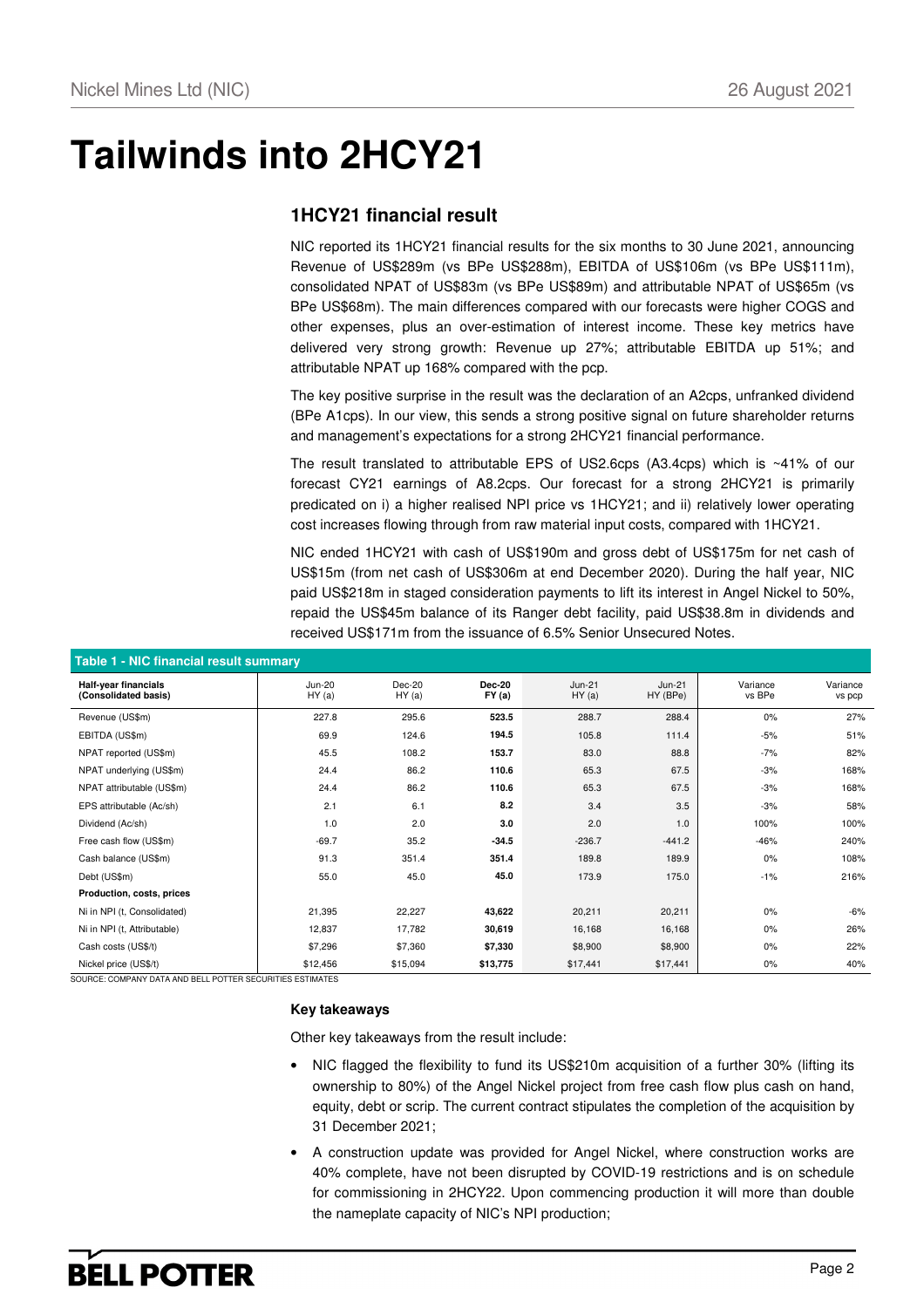# **Tailwinds into 2HCY21**

### **1HCY21 financial result**

NIC reported its 1HCY21 financial results for the six months to 30 June 2021, announcing Revenue of US\$289m (vs BPe US\$288m), EBITDA of US\$106m (vs BPe US\$111m), consolidated NPAT of US\$83m (vs BPe US\$89m) and attributable NPAT of US\$65m (vs BPe US\$68m). The main differences compared with our forecasts were higher COGS and other expenses, plus an over-estimation of interest income. These key metrics have delivered very strong growth: Revenue up 27%; attributable EBITDA up 51%; and attributable NPAT up 168% compared with the pcp.

The key positive surprise in the result was the declaration of an A2cps, unfranked dividend (BPe A1cps). In our view, this sends a strong positive signal on future shareholder returns and management's expectations for a strong 2HCY21 financial performance.

The result translated to attributable EPS of US2.6cps (A3.4cps) which is ~41% of our forecast CY21 earnings of A8.2cps. Our forecast for a strong 2HCY21 is primarily predicated on i) a higher realised NPI price vs 1HCY21; and ii) relatively lower operating cost increases flowing through from raw material input costs, compared with 1HCY21.

NIC ended 1HCY21 with cash of US\$190m and gross debt of US\$175m for net cash of US\$15m (from net cash of US\$306m at end December 2020). During the half year, NIC paid US\$218m in staged consideration payments to lift its interest in Angel Nickel to 50%, repaid the US\$45m balance of its Ranger debt facility, paid US\$38.8m in dividends and received US\$171m from the issuance of 6.5% Senior Unsecured Notes.

| Table 1 - NIC financial result summary       |                    |                  |                        |                    |                      |                    |                    |  |  |  |  |
|----------------------------------------------|--------------------|------------------|------------------------|--------------------|----------------------|--------------------|--------------------|--|--|--|--|
| Half-year financials<br>(Consolidated basis) | $Jun-20$<br>HY (a) | Dec-20<br>HY (a) | <b>Dec-20</b><br>FY(a) | $Jun-21$<br>HY (a) | $Jun-21$<br>HY (BPe) | Variance<br>vs BPe | Variance<br>vs pcp |  |  |  |  |
| Revenue (US\$m)                              | 227.8              | 295.6            | 523.5                  | 288.7              | 288.4                | 0%                 | 27%                |  |  |  |  |
| EBITDA (US\$m)                               | 69.9               | 124.6            | 194.5                  | 105.8              | 111.4                | $-5%$              | 51%                |  |  |  |  |
| NPAT reported (US\$m)                        | 45.5               | 108.2            | 153.7                  | 83.0               | 88.8                 | $-7%$              | 82%                |  |  |  |  |
| NPAT underlying (US\$m)                      | 24.4               | 86.2             | 110.6                  | 65.3               | 67.5                 | $-3%$              | 168%               |  |  |  |  |
| NPAT attributable (US\$m)                    | 24.4               | 86.2             | 110.6                  | 65.3               | 67.5                 | $-3%$              | 168%               |  |  |  |  |
| EPS attributable (Ac/sh)                     | 2.1                | 6.1              | 8.2                    | 3.4                | 3.5                  | $-3%$              | 58%                |  |  |  |  |
| Dividend (Ac/sh)                             | 1.0                | 2.0              | 3.0                    | 2.0                | 1.0                  | 100%               | 100%               |  |  |  |  |
| Free cash flow (US\$m)                       | $-69.7$            | 35.2             | $-34.5$                | $-236.7$           | $-441.2$             | $-46%$             | 240%               |  |  |  |  |
| Cash balance (US\$m)                         | 91.3               | 351.4            | 351.4                  | 189.8              | 189.9                | 0%                 | 108%               |  |  |  |  |
| Debt (US\$m)                                 | 55.0               | 45.0             | 45.0                   | 173.9              | 175.0                | $-1%$              | 216%               |  |  |  |  |
| Production, costs, prices                    |                    |                  |                        |                    |                      |                    |                    |  |  |  |  |
| Ni in NPI (t, Consolidated)                  | 21,395             | 22,227           | 43,622                 | 20,211             | 20,211               | $0\%$              | -6%                |  |  |  |  |
| Ni in NPI (t, Attributable)                  | 12,837             | 17,782           | 30,619                 | 16,168             | 16,168               | 0%                 | 26%                |  |  |  |  |
| Cash costs (US\$/t)                          | \$7,296            | \$7,360          | \$7,330                | \$8,900            | \$8,900              | 0%                 | 22%                |  |  |  |  |
| Nickel price (US\$/t)                        | \$12,456           | \$15,094         | \$13,775               | \$17,441           | \$17,441             | 0%                 | 40%                |  |  |  |  |

SOURCE: COMPANY DATA AND BELL POTTER SECURITIES ESTIMATES

### **Key takeaways**

Other key takeaways from the result include:

- NIC flagged the flexibility to fund its US\$210m acquisition of a further 30% (lifting its ownership to 80%) of the Angel Nickel project from free cash flow plus cash on hand, equity, debt or scrip. The current contract stipulates the completion of the acquisition by 31 December 2021;
- A construction update was provided for Angel Nickel, where construction works are 40% complete, have not been disrupted by COVID-19 restrictions and is on schedule for commissioning in 2HCY22. Upon commencing production it will more than double the nameplate capacity of NIC's NPI production;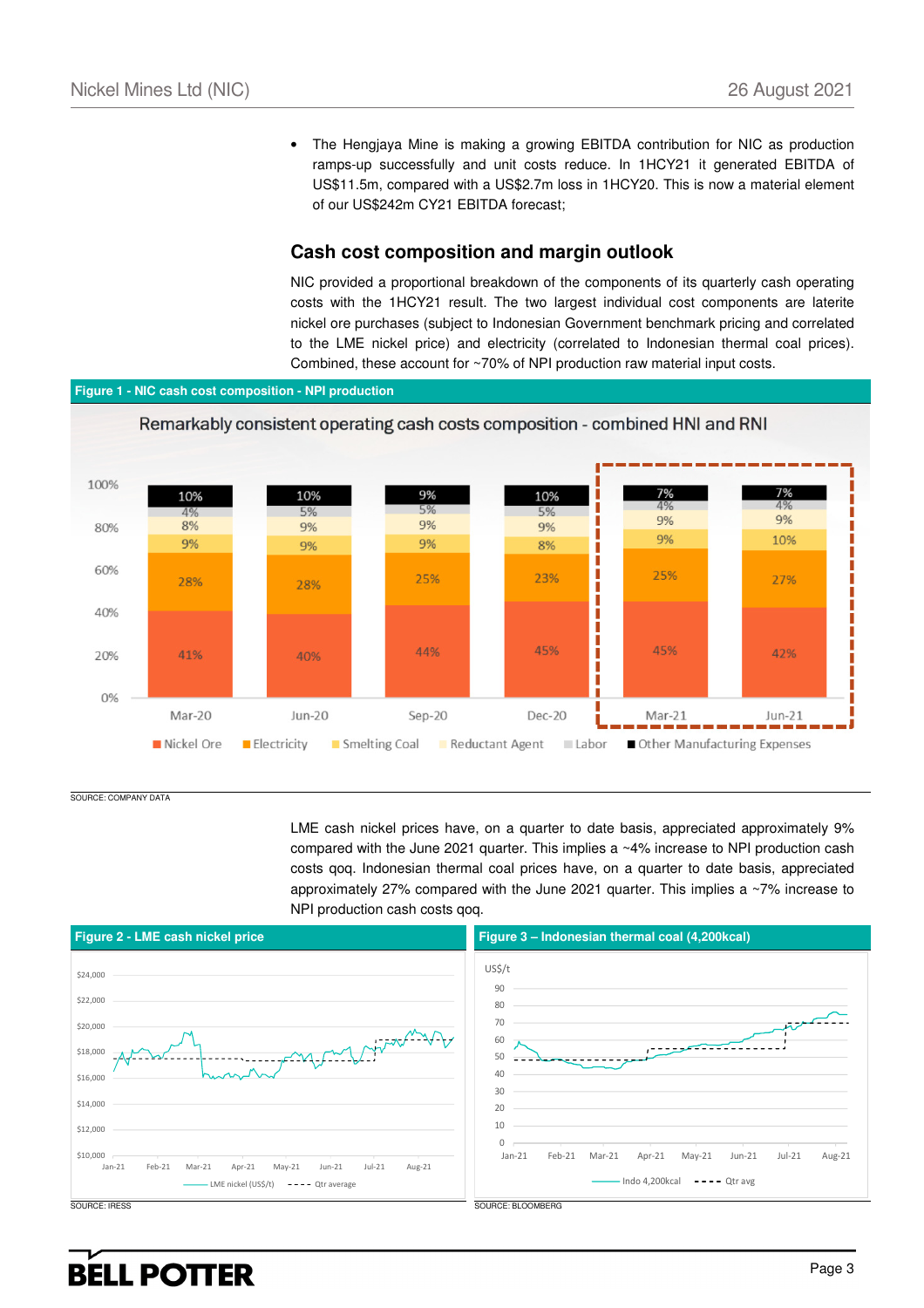• The Hengjaya Mine is making a growing EBITDA contribution for NIC as production ramps-up successfully and unit costs reduce. In 1HCY21 it generated EBITDA of US\$11.5m, compared with a US\$2.7m loss in 1HCY20. This is now a material element of our US\$242m CY21 EBITDA forecast;

### **Cash cost composition and margin outlook**

NIC provided a proportional breakdown of the components of its quarterly cash operating costs with the 1HCY21 result. The two largest individual cost components are laterite nickel ore purchases (subject to Indonesian Government benchmark pricing and correlated to the LME nickel price) and electricity (correlated to Indonesian thermal coal prices). Combined, these account for ~70% of NPI production raw material input costs.

### **Figure 1 - NIC cash cost composition - NPI production**



SOURCE: COMPANY DATA

LME cash nickel prices have, on a quarter to date basis, appreciated approximately 9% compared with the June 2021 quarter. This implies a ~4% increase to NPI production cash costs qoq. Indonesian thermal coal prices have, on a quarter to date basis, appreciated approximately 27% compared with the June 2021 quarter. This implies a ~7% increase to NPI production cash costs qoq.

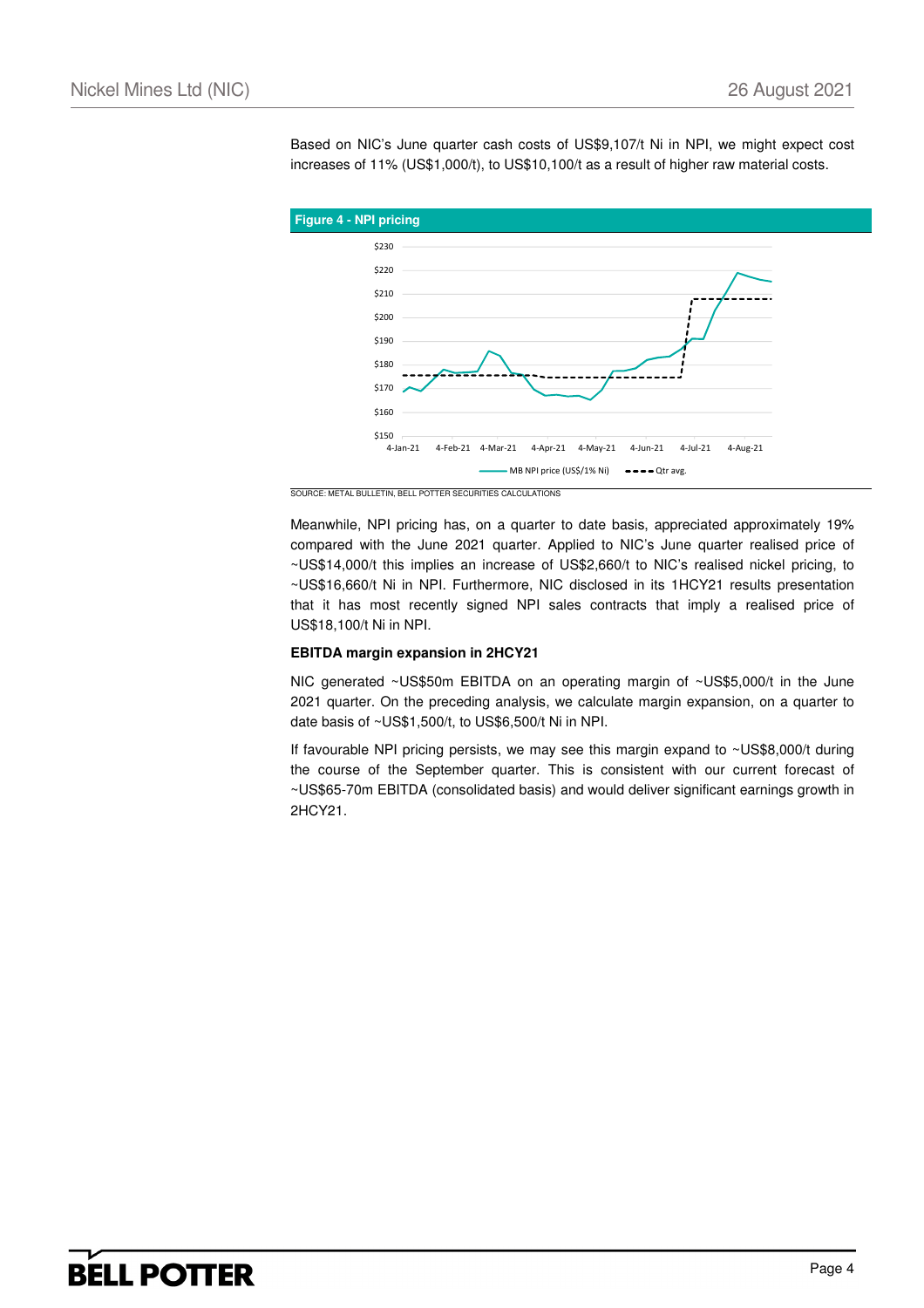Based on NIC's June quarter cash costs of US\$9,107/t Ni in NPI, we might expect cost increases of 11% (US\$1,000/t), to US\$10,100/t as a result of higher raw material costs.



SOURCE: METAL BULLETIN, BELL POTTER SECURITIES CALCULATIONS

Meanwhile, NPI pricing has, on a quarter to date basis, appreciated approximately 19% compared with the June 2021 quarter. Applied to NIC's June quarter realised price of ~US\$14,000/t this implies an increase of US\$2,660/t to NIC's realised nickel pricing, to ~US\$16,660/t Ni in NPI. Furthermore, NIC disclosed in its 1HCY21 results presentation that it has most recently signed NPI sales contracts that imply a realised price of US\$18,100/t Ni in NPI.

#### **EBITDA margin expansion in 2HCY21**

NIC generated ~US\$50m EBITDA on an operating margin of ~US\$5,000/t in the June 2021 quarter. On the preceding analysis, we calculate margin expansion, on a quarter to date basis of ~US\$1,500/t, to US\$6,500/t Ni in NPI.

If favourable NPI pricing persists, we may see this margin expand to ~US\$8,000/t during the course of the September quarter. This is consistent with our current forecast of ~US\$65-70m EBITDA (consolidated basis) and would deliver significant earnings growth in 2HCY21.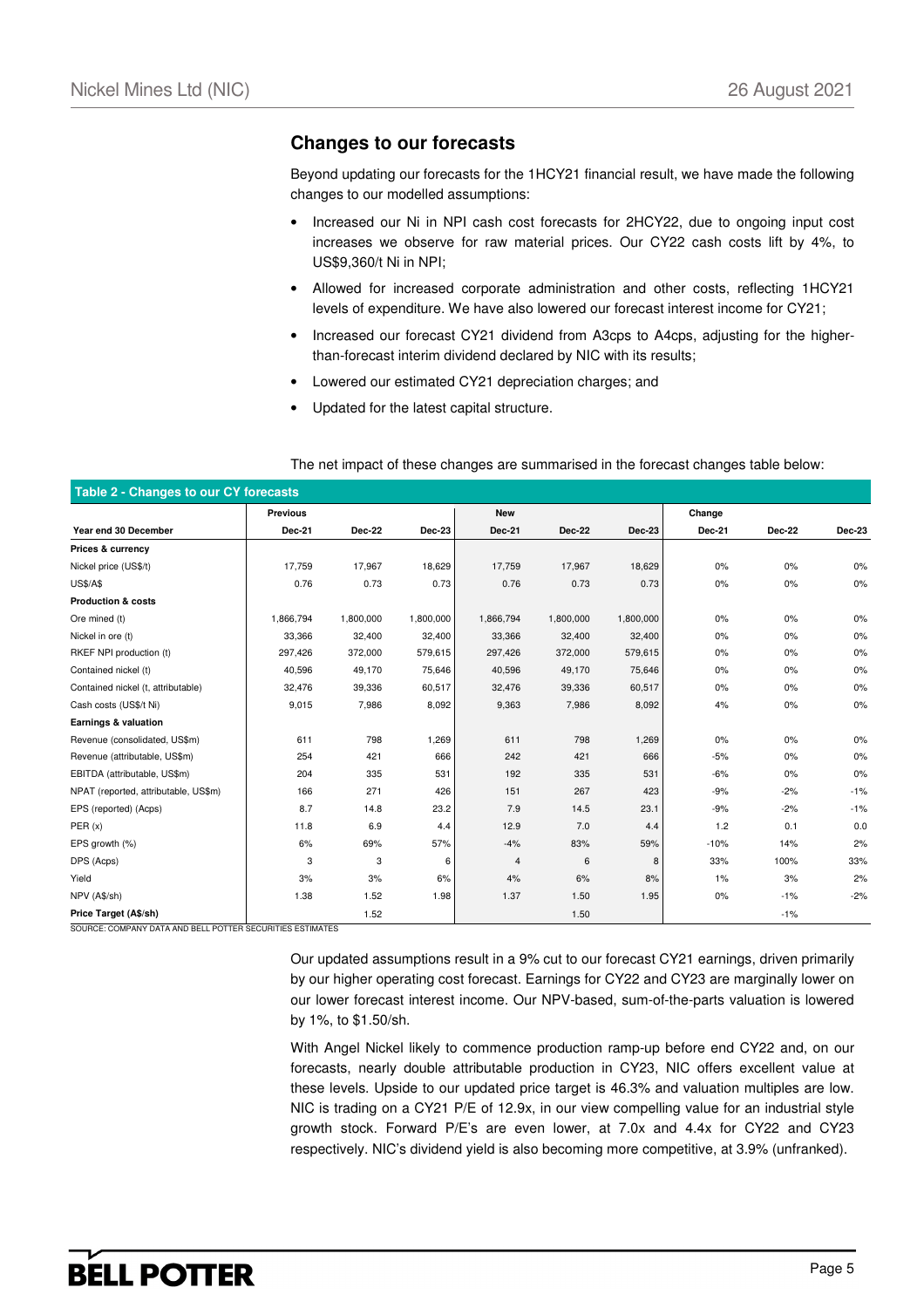### **Changes to our forecasts**

Beyond updating our forecasts for the 1HCY21 financial result, we have made the following changes to our modelled assumptions:

- Increased our Ni in NPI cash cost forecasts for 2HCY22, due to ongoing input cost increases we observe for raw material prices. Our CY22 cash costs lift by 4%, to US\$9,360/t Ni in NPI;
- Allowed for increased corporate administration and other costs, reflecting 1HCY21 levels of expenditure. We have also lowered our forecast interest income for CY21;
- Increased our forecast CY21 dividend from A3cps to A4cps, adjusting for the higherthan-forecast interim dividend declared by NIC with its results;
- Lowered our estimated CY21 depreciation charges; and
- Updated for the latest capital structure.

|  |  | The net impact of these changes are summarised in the forecast changes table below: |
|--|--|-------------------------------------------------------------------------------------|
|  |  |                                                                                     |

| Table 2 - Changes to our CY forecasts |               |               |           |            |               |           |               |               |        |  |
|---------------------------------------|---------------|---------------|-----------|------------|---------------|-----------|---------------|---------------|--------|--|
|                                       | Previous      |               |           | <b>New</b> |               |           | Change        |               |        |  |
| Year end 30 December                  | <b>Dec-21</b> | <b>Dec-22</b> | Dec-23    | Dec-21     | <b>Dec-22</b> | $Dec-23$  | <b>Dec-21</b> | <b>Dec-22</b> | Dec-23 |  |
| Prices & currency                     |               |               |           |            |               |           |               |               |        |  |
| Nickel price (US\$/t)                 | 17,759        | 17,967        | 18,629    | 17,759     | 17,967        | 18,629    | 0%            | 0%            | 0%     |  |
| <b>US\$/A\$</b>                       | 0.76          | 0.73          | 0.73      | 0.76       | 0.73          | 0.73      | 0%            | 0%            | $0\%$  |  |
| <b>Production &amp; costs</b>         |               |               |           |            |               |           |               |               |        |  |
| Ore mined (t)                         | 1,866,794     | 1,800,000     | 1,800,000 | 1,866,794  | 1,800,000     | 1,800,000 | 0%            | 0%            | 0%     |  |
| Nickel in ore (t)                     | 33,366        | 32,400        | 32,400    | 33,366     | 32,400        | 32,400    | 0%            | 0%            | $0\%$  |  |
| RKEF NPI production (t)               | 297,426       | 372,000       | 579,615   | 297,426    | 372,000       | 579,615   | 0%            | 0%            | 0%     |  |
| Contained nickel (t)                  | 40,596        | 49,170        | 75,646    | 40,596     | 49,170        | 75,646    | 0%            | 0%            | 0%     |  |
| Contained nickel (t, attributable)    | 32,476        | 39,336        | 60,517    | 32,476     | 39,336        | 60,517    | 0%            | 0%            | $0\%$  |  |
| Cash costs (US\$/t Ni)                | 9,015         | 7,986         | 8,092     | 9,363      | 7,986         | 8,092     | 4%            | 0%            | 0%     |  |
| Earnings & valuation                  |               |               |           |            |               |           |               |               |        |  |
| Revenue (consolidated, US\$m)         | 611           | 798           | 1,269     | 611        | 798           | 1,269     | 0%            | 0%            | $0\%$  |  |
| Revenue (attributable, US\$m)         | 254           | 421           | 666       | 242        | 421           | 666       | $-5%$         | 0%            | 0%     |  |
| EBITDA (attributable, US\$m)          | 204           | 335           | 531       | 192        | 335           | 531       | $-6%$         | 0%            | 0%     |  |
| NPAT (reported, attributable, US\$m)  | 166           | 271           | 426       | 151        | 267           | 423       | $-9%$         | $-2%$         | $-1%$  |  |
| EPS (reported) (Acps)                 | 8.7           | 14.8          | 23.2      | 7.9        | 14.5          | 23.1      | $-9%$         | $-2%$         | $-1%$  |  |
| PER(x)                                | 11.8          | 6.9           | 4.4       | 12.9       | 7.0           | 4.4       | 1.2           | 0.1           | 0.0    |  |
| EPS growth (%)                        | 6%            | 69%           | 57%       | $-4%$      | 83%           | 59%       | $-10%$        | 14%           | 2%     |  |
| DPS (Acps)                            | 3             | 3             | 6         | 4          | 6             | 8         | 33%           | 100%          | 33%    |  |
| Yield                                 | 3%            | 3%            | 6%        | 4%         | 6%            | 8%        | 1%            | 3%            | 2%     |  |
| NPV (A\$/sh)                          | 1.38          | 1.52          | 1.98      | 1.37       | 1.50          | 1.95      | 0%            | $-1%$         | $-2%$  |  |
| Price Target (A\$/sh)                 |               | 1.52          |           |            | 1.50          |           |               | $-1%$         |        |  |

SOURCE: COMPANY DATA AND BELL POTTER SECURITIES ESTIMATES

Our updated assumptions result in a 9% cut to our forecast CY21 earnings, driven primarily by our higher operating cost forecast. Earnings for CY22 and CY23 are marginally lower on our lower forecast interest income. Our NPV-based, sum-of-the-parts valuation is lowered by 1%, to \$1.50/sh.

With Angel Nickel likely to commence production ramp-up before end CY22 and, on our forecasts, nearly double attributable production in CY23, NIC offers excellent value at these levels. Upside to our updated price target is 46.3% and valuation multiples are low. NIC is trading on a CY21 P/E of 12.9x, in our view compelling value for an industrial style growth stock. Forward P/E's are even lower, at 7.0x and 4.4x for CY22 and CY23 respectively. NIC's dividend yield is also becoming more competitive, at 3.9% (unfranked).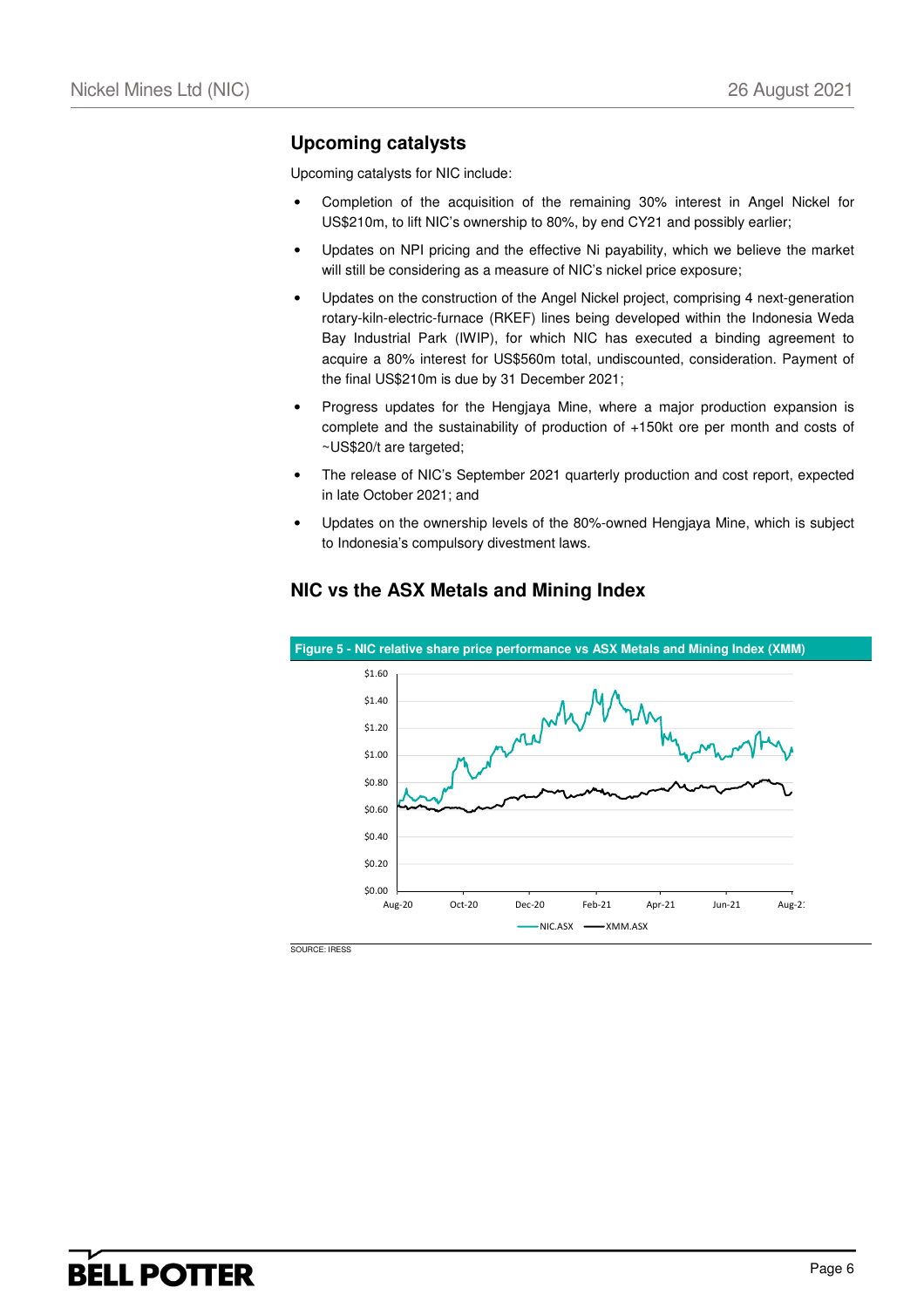### **Upcoming catalysts**

Upcoming catalysts for NIC include:

- Completion of the acquisition of the remaining 30% interest in Angel Nickel for US\$210m, to lift NIC's ownership to 80%, by end CY21 and possibly earlier;
- Updates on NPI pricing and the effective Ni payability, which we believe the market will still be considering as a measure of NIC's nickel price exposure;
- Updates on the construction of the Angel Nickel project, comprising 4 next-generation rotary-kiln-electric-furnace (RKEF) lines being developed within the Indonesia Weda Bay Industrial Park (IWIP), for which NIC has executed a binding agreement to acquire a 80% interest for US\$560m total, undiscounted, consideration. Payment of the final US\$210m is due by 31 December 2021;
- Progress updates for the Hengjaya Mine, where a major production expansion is complete and the sustainability of production of +150kt ore per month and costs of ~US\$20/t are targeted;
- The release of NIC's September 2021 quarterly production and cost report, expected in late October 2021; and
- Updates on the ownership levels of the 80%-owned Hengjaya Mine, which is subject to Indonesia's compulsory divestment laws.



### **NIC vs the ASX Metals and Mining Index**

SOURCE: IRESS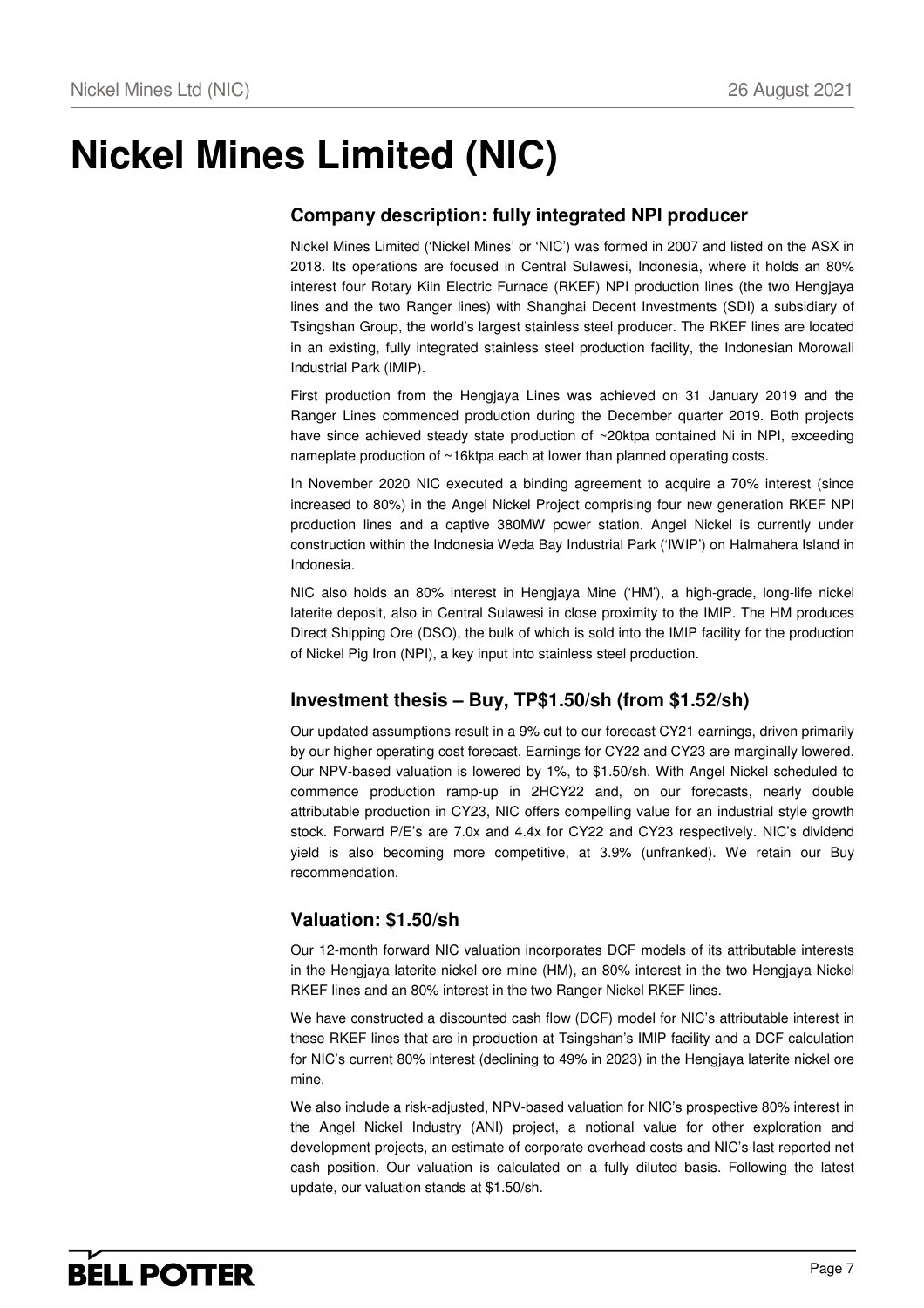# **Nickel Mines Limited (NIC)**

# **Company description: fully integrated NPI producer**

Nickel Mines Limited ('Nickel Mines' or 'NIC') was formed in 2007 and listed on the ASX in 2018. Its operations are focused in Central Sulawesi, Indonesia, where it holds an 80% interest four Rotary Kiln Electric Furnace (RKEF) NPI production lines (the two Hengjaya lines and the two Ranger lines) with Shanghai Decent Investments (SDI) a subsidiary of Tsingshan Group, the world's largest stainless steel producer. The RKEF lines are located in an existing, fully integrated stainless steel production facility, the Indonesian Morowali Industrial Park (IMIP).

First production from the Hengjaya Lines was achieved on 31 January 2019 and the Ranger Lines commenced production during the December quarter 2019. Both projects have since achieved steady state production of ~20ktpa contained Ni in NPI, exceeding nameplate production of ~16ktpa each at lower than planned operating costs.

In November 2020 NIC executed a binding agreement to acquire a 70% interest (since increased to 80%) in the Angel Nickel Project comprising four new generation RKEF NPI production lines and a captive 380MW power station. Angel Nickel is currently under construction within the Indonesia Weda Bay Industrial Park ('IWIP') on Halmahera Island in Indonesia.

NIC also holds an 80% interest in Hengjaya Mine ('HM'), a high-grade, long-life nickel laterite deposit, also in Central Sulawesi in close proximity to the IMIP. The HM produces Direct Shipping Ore (DSO), the bulk of which is sold into the IMIP facility for the production of Nickel Pig Iron (NPI), a key input into stainless steel production.

## **Investment thesis – Buy, TP\$1.50/sh (from \$1.52/sh)**

Our updated assumptions result in a 9% cut to our forecast CY21 earnings, driven primarily by our higher operating cost forecast. Earnings for CY22 and CY23 are marginally lowered. Our NPV-based valuation is lowered by 1%, to \$1.50/sh. With Angel Nickel scheduled to commence production ramp-up in 2HCY22 and, on our forecasts, nearly double attributable production in CY23, NIC offers compelling value for an industrial style growth stock. Forward P/E's are 7.0x and 4.4x for CY22 and CY23 respectively. NIC's dividend yield is also becoming more competitive, at 3.9% (unfranked). We retain our Buy recommendation.

## **Valuation: \$1.50/sh**

Our 12-month forward NIC valuation incorporates DCF models of its attributable interests in the Hengjaya laterite nickel ore mine (HM), an 80% interest in the two Hengjaya Nickel RKEF lines and an 80% interest in the two Ranger Nickel RKEF lines.

We have constructed a discounted cash flow (DCF) model for NIC's attributable interest in these RKEF lines that are in production at Tsingshan's IMIP facility and a DCF calculation for NIC's current 80% interest (declining to 49% in 2023) in the Hengjaya laterite nickel ore mine.

We also include a risk-adjusted, NPV-based valuation for NIC's prospective 80% interest in the Angel Nickel Industry (ANI) project, a notional value for other exploration and development projects, an estimate of corporate overhead costs and NIC's last reported net cash position. Our valuation is calculated on a fully diluted basis. Following the latest update, our valuation stands at \$1.50/sh.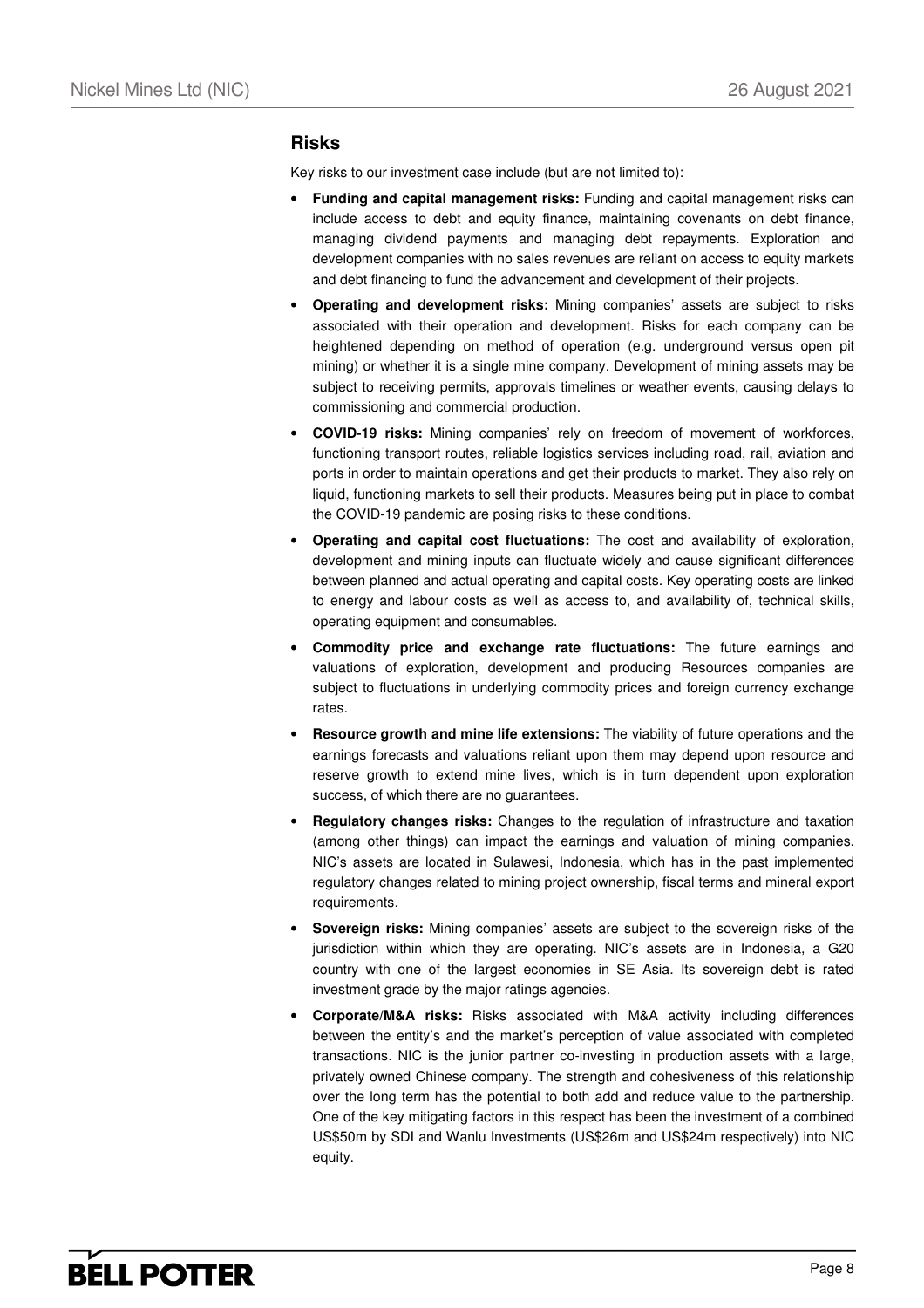### **Risks**

Key risks to our investment case include (but are not limited to):

- **Funding and capital management risks:** Funding and capital management risks can include access to debt and equity finance, maintaining covenants on debt finance, managing dividend payments and managing debt repayments. Exploration and development companies with no sales revenues are reliant on access to equity markets and debt financing to fund the advancement and development of their projects.
- **Operating and development risks:** Mining companies' assets are subject to risks associated with their operation and development. Risks for each company can be heightened depending on method of operation (e.g. underground versus open pit mining) or whether it is a single mine company. Development of mining assets may be subject to receiving permits, approvals timelines or weather events, causing delays to commissioning and commercial production.
- **COVID-19 risks:** Mining companies' rely on freedom of movement of workforces, functioning transport routes, reliable logistics services including road, rail, aviation and ports in order to maintain operations and get their products to market. They also rely on liquid, functioning markets to sell their products. Measures being put in place to combat the COVID-19 pandemic are posing risks to these conditions.
- **Operating and capital cost fluctuations:** The cost and availability of exploration, development and mining inputs can fluctuate widely and cause significant differences between planned and actual operating and capital costs. Key operating costs are linked to energy and labour costs as well as access to, and availability of, technical skills, operating equipment and consumables.
- **Commodity price and exchange rate fluctuations:** The future earnings and valuations of exploration, development and producing Resources companies are subject to fluctuations in underlying commodity prices and foreign currency exchange rates.
- **Resource growth and mine life extensions:** The viability of future operations and the earnings forecasts and valuations reliant upon them may depend upon resource and reserve growth to extend mine lives, which is in turn dependent upon exploration success, of which there are no guarantees.
- **Regulatory changes risks:** Changes to the regulation of infrastructure and taxation (among other things) can impact the earnings and valuation of mining companies. NIC's assets are located in Sulawesi, Indonesia, which has in the past implemented regulatory changes related to mining project ownership, fiscal terms and mineral export requirements.
- **Sovereign risks:** Mining companies' assets are subject to the sovereign risks of the jurisdiction within which they are operating. NIC's assets are in Indonesia, a G20 country with one of the largest economies in SE Asia. Its sovereign debt is rated investment grade by the major ratings agencies.
- **Corporate/M&A risks:** Risks associated with M&A activity including differences between the entity's and the market's perception of value associated with completed transactions. NIC is the junior partner co-investing in production assets with a large, privately owned Chinese company. The strength and cohesiveness of this relationship over the long term has the potential to both add and reduce value to the partnership. One of the key mitigating factors in this respect has been the investment of a combined US\$50m by SDI and Wanlu Investments (US\$26m and US\$24m respectively) into NIC equity.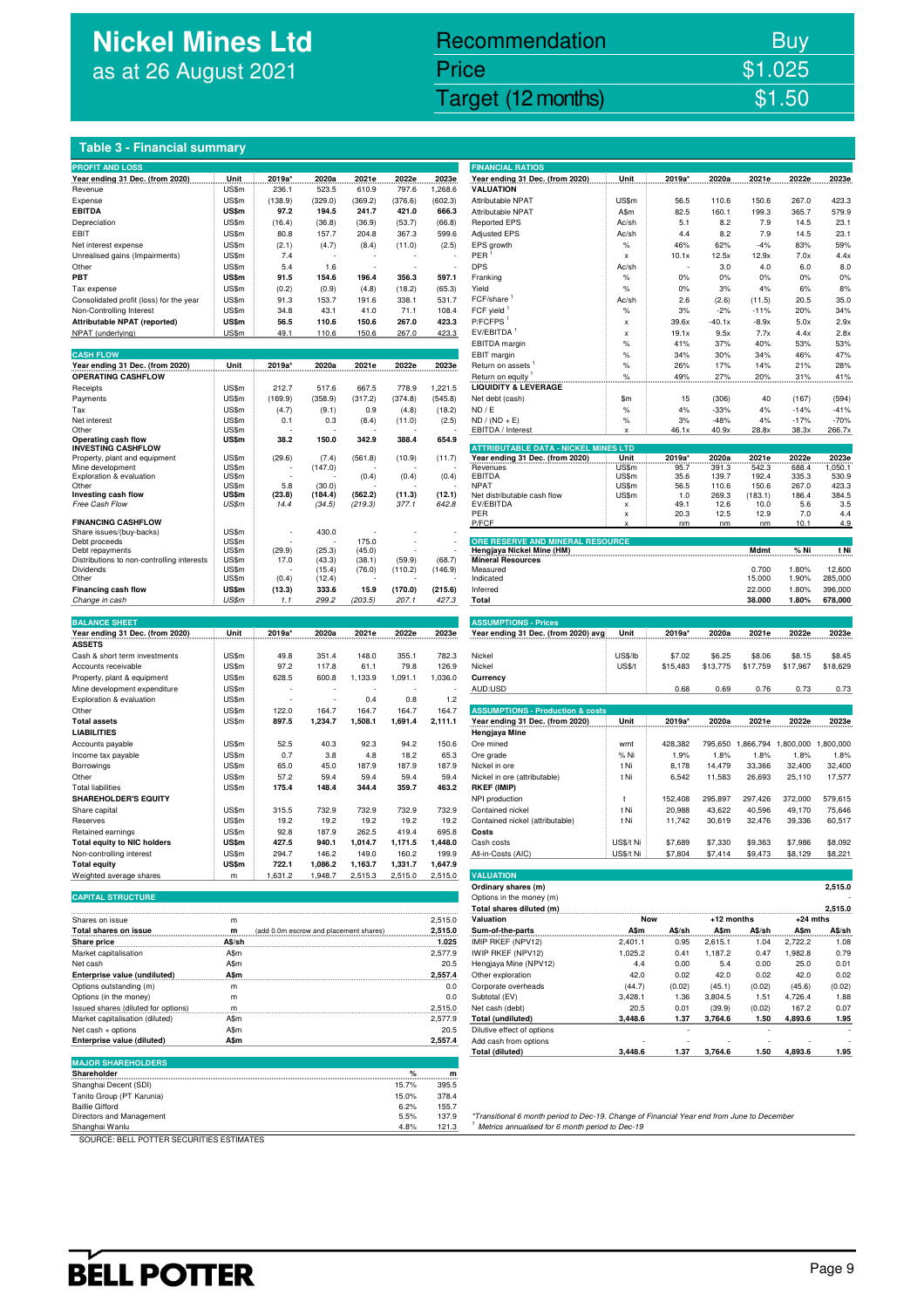# **Nickel Mines Ltd** as at 26 August 2021

# Recommendation Buy Price \$1.025

Nickel Mines Ltd (Nickel Mines Ltd (Nickel Mines Ltd (Nickel Mines Ltd (Nickel Mines Ltd Computer) \$1.50

### **Table 3 - Financial summary**

| <b>PROFIT AND LOSS</b>                                     |                |                                        |                  |                |                 |                 | <b>FINANCIAL RATIOS</b>                                                        |                           |            |              |                   |                |                   |
|------------------------------------------------------------|----------------|----------------------------------------|------------------|----------------|-----------------|-----------------|--------------------------------------------------------------------------------|---------------------------|------------|--------------|-------------------|----------------|-------------------|
| Year ending 31 Dec. (from 2020)                            | Unit           | 2019a'                                 | 2020a            | 2021e          | 2022e           | 2023e           | Year ending 31 Dec. (from 2020)                                                | Unit                      | 2019a      | 2020a        | 2021e             | 2022e          | 2023e             |
| Revenue                                                    | US\$m          | 236.1                                  | 523.5            | 610.9          | 797.6           | 1,268.6         | <b>VALUATION</b>                                                               |                           |            |              |                   |                |                   |
| Expense                                                    | US\$m          | (138.9)                                | (329.0)          | (369.2)        | (376.6)         | (602.3)         | Attributable NPAT                                                              | US\$m                     | 56.5       | 110.6        | 150.6             | 267.0          | 423.3             |
| <b>EBITDA</b>                                              | US\$m          | 97.2                                   | 194.5            | 241.7          | 421.0           | 666.3           | Attributable NPAT                                                              | A\$m                      | 82.5       | 160.1        | 199.3             | 365.7          | 579.9             |
| Depreciation                                               | US\$m          | (16.4)                                 | (36.8)           | (36.9)         | (53.7)          | (66.8)          | <b>Reported EPS</b>                                                            | Ac/sh                     | 5.1        | 8.2          | 7.9               | 14.5           | 23.1              |
| EBIT                                                       | US\$m<br>US\$m | 80.8                                   | 157.7            | 204.8          | 367.3           | 599.6           | <b>Adjusted EPS</b>                                                            | Ac/sh<br>$\%$             | 4.4        | 8.2          | 7.9<br>$-4%$      | 14.5<br>83%    | 23.1<br>59%       |
| Net interest expense                                       |                | (2.1)<br>7.4                           | (4.7)            | (8.4)          | (11.0)          | (2.5)           | EPS growth<br>PER                                                              |                           | 46%        | 62%<br>12.5x | 12.9x             | 7.0x           | 4.4x              |
| Unrealised gains (Impairments)<br>Other                    | US\$m<br>US\$m |                                        |                  |                |                 |                 | DPS                                                                            | x                         | 10.1x      |              |                   |                | 8.0               |
| PBT                                                        | <b>US\$m</b>   | 5.4<br>91.5                            | 1.6<br>154.6     | 196.4          | 356.3           | 597.1           |                                                                                | Ac/sh<br>$\%$             | 0%         | 3.0<br>0%    | 4.0<br>0%         | 6.0<br>0%      | 0%                |
|                                                            | US\$m          | (0.2)                                  | (0.9)            |                |                 |                 | Franking<br>Yield                                                              | $\%$                      | 0%         | 3%           | 4%                | 6%             | 8%                |
| Tax expense<br>Consolidated profit (loss) for the year     | US\$m          | 91.3                                   | 153.7            | (4.8)<br>191.6 | (18.2)<br>338.1 | (65.3)<br>531.7 | FCF/share                                                                      | Ac/sh                     | 2.6        | (2.6)        | (11.5)            | 20.5           | 35.0              |
| Non-Controlling Interest                                   | US\$m          | 34.8                                   | 43.1             | 41.0           | 71.1            | 108.4           | FCF yield <sup>1</sup>                                                         | $\%$                      | 3%         | $-2%$        | $-11%$            | 20%            | 34%               |
| Attributable NPAT (reported)                               | US\$m          | 56.5                                   | 110.6            | 150.6          | 267.0           | 423.3           | P/FCFPS                                                                        | x                         | 39.6x      | $-40.1x$     | $-8.9x$           | 5.0x           | 2.9x              |
| NPAT (underlying)                                          | US\$m          | 49.1                                   | 110.6            | 150.6          | 267.0           | 423.3           | EV/EBITDA                                                                      | $\boldsymbol{\mathsf{x}}$ | 19.1x      | 9.5x         | 7.7x              | 4.4x           | 2.8x              |
|                                                            |                |                                        |                  |                |                 |                 | EBITDA margin                                                                  | $\%$                      | 41%        | 37%          | 40%               | 53%            | 53%               |
| <b>CASH FLOW</b>                                           |                |                                        |                  |                |                 |                 | EBIT margin                                                                    | $\%$                      | 34%        | 30%          | 34%               | 46%            | 47%               |
| Year ending 31 Dec. (from 2020)                            | Unit           | 2019a*                                 | 2020a            | 2021e          | 2022e           | 2023e           | Return on assets                                                               | $\%$                      | 26%        | 17%          | 14%               | 21%            | 28%               |
| <b>OPERATING CASHFLOW</b>                                  |                |                                        |                  |                |                 |                 | Return on equity                                                               | $\%$                      | 49%        | 27%          | 20%               | 31%            | 41%               |
| Receipts                                                   | US\$m          | 212.7                                  | 517.6            | 667.5          | 778.9           | 1,221.5         | <b>LIQUIDITY &amp; LEVERAGE</b>                                                |                           |            |              |                   |                |                   |
| Payments                                                   | US\$m          | (169.9)                                | (358.9)          | (317.2)        | (374.8)         | (545.8)         | Net debt (cash)                                                                | \$m                       | 15         | (306)        | 40                | (167)          | (594)             |
| Tax                                                        | US\$m          | (4.7)                                  | (9.1)            | 0.9            | (4.8)           | (18.2)          | ND / E                                                                         | $\%$                      | 4%         | $-33%$       | 4%                | $-14%$         | $-41%$            |
| Net interest                                               | US\$m          | 0.1                                    | 0.3              | (8.4)          | (11.0)          | (2.5)           | $ND / (ND + E)$                                                                | $\%$                      | 3%         | -48%         | 4%                | $-17%$         | $-70%$            |
| Other                                                      | US\$m          |                                        |                  |                |                 |                 | EBITDA / Interest                                                              | x                         | 46.1x      | 40.9x        | 28.8x             | 38.3x          | 266.7x            |
| <b>Operating cash flow</b>                                 | US\$m          | 38.2                                   | 150.0            | 342.9          | 388.4           | 654.9           |                                                                                |                           |            |              |                   |                |                   |
| <b>INVESTING CASHFLOW</b><br>Property, plant and equipment | US\$m          | (29.6)                                 | (7.4)            |                | (10.9)          | (11.7)          | <b>ATTRIBUTABLE DATA - NICKEL MINES LTD</b><br>Year ending 31 Dec. (from 2020) | Unit                      | 2019a'     | 2020a        | 2021e             | 2022e          | 2023e             |
| Mine development                                           | US\$m          |                                        | (147.0)          | (561.8)        |                 |                 | Revenues                                                                       | US\$m                     | 95.7       | 391.3        | 542.3             | 688.4          | 1,050.1           |
| Exploration & evaluation                                   | US\$m          |                                        |                  | (0.4)          | (0.4)           | (0.4)           | EBITDA                                                                         | US\$m                     | 35.6       | 139.7        | 192.4             | 335.3          | 530.9             |
| Other                                                      | US\$m          | 5.8                                    | (30.0)           |                |                 |                 | NPAT                                                                           | US\$m                     | 56.5       | 110.6        | 150.6             | 267.0          | 423.3             |
| Investing cash flow                                        | US\$m          | (23.8)                                 | (184.4)          | (562.2)        | (11.3)          | (12.1)          | Net distributable cash flow                                                    | US\$m                     | 1.0        | 269.3        | (183.1)           | 186.4          | 384.5             |
| Free Cash Flow                                             | US\$m          | 14.4                                   | (34.5)           | (219.3)        | 377.1           | 642.8           | EV/EBITDA                                                                      | x                         | 49.1       | 12.6         | 10.0              | 5.6            | 3.5               |
| <b>FINANCING CASHFLOW</b>                                  |                |                                        |                  |                |                 |                 | PER<br>P/FCF                                                                   | x                         | 20.3<br>nm | 12.5<br>nm   | 12.9<br>nm        | 7.0<br>10.1    | 4.4<br>4.9        |
| Share issues/(buy-backs)                                   | US\$m          |                                        | 430.0            |                |                 |                 |                                                                                |                           |            |              |                   |                |                   |
| Debt proceeds                                              | US\$m          |                                        |                  | 175.0          |                 |                 | ORE RESERVE AND MINERAL RESOURCE                                               |                           |            |              |                   |                |                   |
| Debt repayments                                            | US\$m          | (29.9)                                 | (25.3)           | (45.0)         |                 |                 | Hengjaya Nickel Mine (HM)                                                      |                           |            |              | Mdmt              | % Ni           | t Ni              |
| Distributions to non-controlling interests                 | US\$m          | 17.0                                   | (43.3)           | (38.1)         | (59.9)          | (68.7)          | <b>Mineral Resources</b>                                                       |                           |            |              |                   |                |                   |
| Dividends<br>Other                                         | US\$m<br>US\$m | (0.4)                                  | (15.4)<br>(12.4) | (76.0)         | (110.2)         | (146.9)         | Measured<br>Indicated                                                          |                           |            |              | 0.700<br>15.000   | 1.80%<br>1.90% | 12,600<br>285,000 |
| Financing cash flow                                        | US\$m          | (13.3)                                 | 333.6            | 15.9           | (170.0)         | (215.6)         | Inferred                                                                       |                           |            |              | 22.000            | 1.80%          | 396,000           |
| Change in cash                                             | US\$m          | 1.1                                    | 299.2            | (203.5)        | 207.1           | 427.3           | Total                                                                          |                           |            |              | 38.000            | 1.80%          | 678,000           |
|                                                            |                |                                        |                  |                |                 |                 |                                                                                |                           |            |              |                   |                |                   |
| <b>BALANCE SHEET</b>                                       |                |                                        |                  |                |                 |                 | <b>ASSUMPTIONS - Prices</b>                                                    |                           |            |              |                   |                |                   |
| Year ending 31 Dec. (from 2020)                            | Unit           | 2019a*                                 | 2020a            | 2021e          | 2022e           | 2023e           | Year ending 31 Dec. (from 2020) avg                                            | Unit                      | 2019a*     | 2020a        | 2021e             | 2022e          | 2023e             |
| <b>ASSETS</b>                                              |                |                                        |                  |                |                 |                 |                                                                                |                           |            |              |                   |                |                   |
| Cash & short term investments                              | US\$m          | 49.8                                   | 351.4            | 148.0          | 355.1           | 782.3           | Nickel                                                                         | US\$/lb                   | \$7.02     | \$6.25       | \$8.06            | \$8.15         | \$8.45            |
| Accounts receivable                                        | US\$m          | 97.2                                   | 117.8            | 61.1           | 79.8            | 126.9           | Nickel                                                                         | <b>US\$/t</b>             | \$15,483   | \$13,775     | \$17,759          | \$17,967       | \$18,629          |
| Property, plant & equipment                                | US\$m          | 628.5                                  | 600.8            | 1,133.9        | 1,091.1         | 1,036.0         | Currency                                                                       |                           |            |              |                   |                |                   |
| Mine development expenditure                               | US\$m          |                                        |                  |                |                 |                 | AUD:USD                                                                        |                           | 0.68       | 0.69         | 0.76              | 0.73           | 0.73              |
| Exploration & evaluation                                   | US\$m          |                                        |                  | 0.4            | 0.8             | 1.2             |                                                                                |                           |            |              |                   |                |                   |
| Other                                                      | US\$m          | 122.0                                  | 164.7            | 164.7          | 164.7           | 164.7           | <b>ASSUMPTIONS - Production &amp; costs</b>                                    |                           |            |              |                   |                |                   |
| <b>Total assets</b>                                        | US\$m          | 897.5                                  | 1,234.7          | 1,508.1        | 1,691.4         | 2,111.1         | Year ending 31 Dec. (from 2020)                                                | Unit                      | 2019a*     | 2020a        | 2021e             | 2022e          | 2023e             |
| <b>LIABILITIES</b>                                         |                |                                        |                  |                |                 |                 | Hengjaya Mine                                                                  |                           |            |              |                   |                |                   |
| Accounts payable                                           | US\$m          | 52.5                                   | 40.3             | 92.3           | 94.2            | 150.6           | Ore mined                                                                      | wmt                       | 428,382    |              | 795,650 1,866,794 | 1,800,000      | 1,800,000         |
| Income tax payable                                         | US\$m          | 0.7                                    | 3.8              | 4.8            | 18.2            | 65.3            | Ore grade                                                                      | % Ni                      | 1.9%       | 1.8%         | 1.8%              | 1.8%           | 1.8%              |
| Borrowings                                                 | US\$m          | 65.0                                   | 45.0             | 187.9          | 187.9           | 187.9           | Nickel in ore                                                                  | t Ni                      | 8,178      | 14,479       | 33,366            | 32,400         | 32,400            |
| Other                                                      | US\$m          | 57.2                                   | 59.4             | 59.4           | 59.4            | 59.4            | Nickel in ore (attributable)                                                   | t Ni                      | 6,542      | 11,583       | 26,693            | 25,110         | 17,577            |
| <b>Total liabilities</b>                                   | US\$m          | 175.4                                  | 148.4            | 344.4          | 359.7           | 463.2           | <b>RKEF (IMIP)</b>                                                             |                           |            |              |                   |                |                   |
| <b>SHAREHOLDER'S EQUITY</b>                                |                |                                        |                  |                |                 |                 | NPI production                                                                 | t                         | 152,408    | 295,897      | 297,426           | 372.000        | 579.615           |
| Share capital                                              | US\$m          | 315.5                                  | 732.9            | 732.9          | 732.9           | 732.9           | Contained nickel                                                               | t Ni                      | 20,988     | 43,622       | 40,596            | 49,170         | 75,646            |
| Reserves                                                   | US\$m          | 19.2                                   | 19.2             | 19.2           | 19.2            | 19.2            | Contained nickel (attributable)                                                | t Ni                      | 11,742     | 30,619       | 32,476            | 39,336         | 60,517            |
| Retained earnings                                          | US\$m          | 92.8                                   | 187.9            | 262.5          | 419.4           | 695.8           | Costs                                                                          |                           |            |              |                   |                |                   |
| <b>Total equity to NIC holders</b>                         | <b>US\$m</b>   | 427.5                                  | 940.1            | 1,014.7        | 1,171.5         | 1,448.0         | Cash costs                                                                     | US\$/t Ni                 | \$7,689    | \$7,330      | \$9,363           | \$7,986        | \$8,092           |
| Non-controlling interest                                   | US\$m          | 294.7                                  | 146.2            | 149.0          | 160.2           | 199.9           | All-in-Costs (AIC)                                                             | US\$/t Ni                 | \$7,804    | \$7,414      | \$9,473           | \$8,129        | \$8,221           |
| <b>Total equity</b>                                        | US\$m          | 722.1                                  | 1,086.2          | 1,163.7        | 1,331.7         | 1,647.9         |                                                                                |                           |            |              |                   |                |                   |
| Weighted average shares                                    | m              | 1,631.2                                | 1,948.7          | 2,515.3        | 2,515.0         | 2,515.0         | <b>VALUATION</b>                                                               |                           |            |              |                   |                |                   |
|                                                            |                |                                        |                  |                |                 |                 | Ordinary shares (m)                                                            |                           |            |              |                   |                | 2,515.0           |
| <b>CAPITAL STRUCTURE</b>                                   |                |                                        |                  |                |                 |                 | Options in the money (m)                                                       |                           |            |              |                   |                |                   |
|                                                            |                |                                        |                  |                |                 |                 | Total shares diluted (m)                                                       |                           |            |              |                   |                | 2,515.0           |
| Shares on issue                                            | m              |                                        |                  |                |                 | 2,515.0         | Valuation                                                                      | <b>Now</b>                |            | +12 months   |                   | $+24$ mths     |                   |
| Total shares on issue                                      | m              | (add 0.0m escrow and placement shares) |                  |                |                 | 2,515.0         | Sum-of-the-parts                                                               | A\$m                      | A\$/sh     | A\$m         | A\$/sh            | A\$m           | A\$/sh            |
| Share price                                                | A\$/sh         |                                        |                  |                |                 | 1.025           | IMIP RKEF (NPV12)                                                              | 2,401.1                   | 0.95       | 2,615.1      | 1.04              | 2,722.2        | 1.08              |
| Market capitalisation                                      | A\$m           |                                        |                  |                |                 | 2,577.9         | IWIP RKEF (NPV12)                                                              | 1,025.2                   | 0.41       | 1,187.2      | 0.47              | 1,982.8        | 0.79              |
| Net cash                                                   | A\$m           |                                        |                  |                |                 | 20.5            | Hengjaya Mine (NPV12)                                                          | 4.4                       | 0.00       | 5.4          | 0.00              | 25.0           | 0.01              |
| <b>Enterprise value (undiluted)</b>                        | A\$m           |                                        |                  |                |                 | 2,557.4         | Other exploration                                                              | 42.0                      | 0.02       | 42.0         | 0.02              | 42.0           | 0.02              |
| Options outstanding (m)                                    | m              |                                        |                  |                |                 | 0.0             | Corporate overheads                                                            | (44.7)                    | (0.02)     | (45.1)       | (0.02)            | (45.6)         | (0.02)            |
| Options (in the money)                                     | m              |                                        |                  |                |                 | 0.0             | Subtotal (EV)                                                                  | 3,428.1                   | 1.36       | 3,804.5      | 1.51              | 4,726.4        | 1.88              |
| Issued shares (diluted for options)                        | m              |                                        |                  |                |                 | 2,515.0         | Net cash (debt)                                                                | 20.5                      | 0.01       | (39.9)       | (0.02)            | 167.2          | 0.07              |
| Market capitalisation (diluted)                            | A\$m           |                                        |                  |                |                 | 2,577.9         | <b>Total (undiluted)</b>                                                       | 3,448.6                   | 1.37       | 3,764.6      | 1.50              | 4,893.6        | 1.95              |
| Net cash + options                                         | A\$m           |                                        |                  |                |                 | 20.5            | Dilutive effect of options                                                     |                           |            |              |                   |                |                   |
| Enterprise value (diluted)                                 | A\$m           |                                        |                  |                |                 | 2,557.4         | Add cash from options                                                          |                           |            |              |                   |                |                   |
| <b>MAJOR SHAREHOLDERS</b>                                  |                |                                        |                  |                |                 |                 | <b>Total (diluted)</b>                                                         | 3,448.6                   | 1.37       | 3,764.6      | 1.50              | 4,893.6        | 1.95              |
| Shareholder                                                |                |                                        |                  |                |                 |                 |                                                                                |                           |            |              |                   |                |                   |
|                                                            |                |                                        |                  |                | ℅               | m               |                                                                                |                           |            |              |                   |                |                   |
| Shanghai Decent (SDI)<br>Tanito Group (PT Karunia)         |                |                                        |                  |                | 15.7%           | 395.5           |                                                                                |                           |            |              |                   |                |                   |
| <b>Baillie Gifford</b>                                     |                |                                        |                  |                | 15.0%<br>6.2%   | 378.4<br>155.7  |                                                                                |                           |            |              |                   |                |                   |
|                                                            |                |                                        |                  |                |                 |                 |                                                                                |                           |            |              |                   |                |                   |

| <b>FINANCIAL RATIOS</b>                                                                                                                                                                                                                            |                 |                   |                   |                   |                     |                    |
|----------------------------------------------------------------------------------------------------------------------------------------------------------------------------------------------------------------------------------------------------|-----------------|-------------------|-------------------|-------------------|---------------------|--------------------|
| Year ending 31 Dec. (from 2020)                                                                                                                                                                                                                    | Unit            | 2019a*            | 2020a             | 2021e             | 2022e               | 2023e              |
| <b>VALUATION</b><br><b>Attributable NPAT</b>                                                                                                                                                                                                       | US\$m           | 56.5              | 110.6             | 150.6             | 267.0               | 423.3              |
| Attributable NPAT                                                                                                                                                                                                                                  | A\$m            | 82.5              | 160.1             | 199.3             | 365.7               | 579.9              |
| <b>Reported EPS</b>                                                                                                                                                                                                                                | Ac/sh           | 5.1               | 8.2               | 7.9               | 14.5                | 23.1               |
| <b>Adjusted EPS</b>                                                                                                                                                                                                                                | Ac/sh           | 4.4               | 8.2               | 7.9               | 14.5                | 23.1               |
| EPS growth<br>PER <sup>1</sup>                                                                                                                                                                                                                     | %<br>x          | 46%<br>10.1x      | 62%<br>12.5x      | $-4%$<br>12.9x    | 83%<br>7.0x         | 59%<br>4.4x        |
| <b>DPS</b>                                                                                                                                                                                                                                         | Ac/sh           |                   | 3.0               | 4.0               | 6.0                 | 8.0                |
| Franking                                                                                                                                                                                                                                           | $\%$            | 0%                | 0%                | 0%                | 0%                  | 0%                 |
| Yield                                                                                                                                                                                                                                              | %               | 0%                | 3%                | 4%                | 6%                  | 8%                 |
| FCF/share <sup>1</sup>                                                                                                                                                                                                                             | Ac/sh           | 2.6               | (2.6)             | (11.5)            | 20.5                | 35.0               |
| FCF yield <sup>1</sup><br>P/FCFPS <sup>1</sup>                                                                                                                                                                                                     | %<br>x          | 3%<br>39.6x       | $-2%$<br>$-40.1x$ | $-11%$<br>$-8.9x$ | 20%<br>5.0x         | 34%<br>2.9x        |
| EV/EBITDA <sup>1</sup>                                                                                                                                                                                                                             | x               | 19.1x             | 9.5x              | 7.7x              | 4.4x                | 2.8x               |
| EBITDA margin                                                                                                                                                                                                                                      | %               | 41%               | 37%               | 40%               | 53%                 | 53%                |
| EBIT margin                                                                                                                                                                                                                                        | %               | 34%               | 30%               | 34%               | 46%                 | 47%                |
| Return on assets                                                                                                                                                                                                                                   | %               | 26%               | 17%               | 14%               | 21%                 | 28%                |
| Return on equity<br><b>LIQUIDITY &amp; LEVERAGE</b>                                                                                                                                                                                                | %               | 49%               | 27%               | 20%               | 31%                 | 41%                |
| Net debt (cash)                                                                                                                                                                                                                                    | \$m             | 15                | (306)             | 40                | (167)               | (594)              |
| ND / E                                                                                                                                                                                                                                             | $\%$            | 4%                | $-33%$            | 4%                | $-14%$              | $-41%$             |
| $ND / (ND + E)$                                                                                                                                                                                                                                    | %               | 3%                | $-48%$            | 4%                | $-17%$              | $-70%$             |
| EBITDA / Interest                                                                                                                                                                                                                                  | x               | 46.1x             | 40.9x             | 28.8x             | 38.3x               | 266.7x             |
| <b>ATTRIBUTABLE DATA - NICKEL MINES LTD</b>                                                                                                                                                                                                        |                 |                   |                   |                   |                     |                    |
| Year ending 31 Dec. (from 2020)<br>Revenues                                                                                                                                                                                                        | Unit<br>US\$m   | 2019a'<br>95.7    | 2020a<br>391.3    | 2021e<br>542.3    | 2022e<br>688.4      | 2023e<br>1,050.1   |
| <b>EBITDA</b>                                                                                                                                                                                                                                      | US\$m           | 35.6              | 139.7             | 192.4             | 335.3               | 530.9              |
| <b>NPAT</b>                                                                                                                                                                                                                                        | US\$m           | 56.5              | 110.6             | 150.6             | 267.0               | 423.3              |
| Net distributable cash flow<br>EV/EBITDA                                                                                                                                                                                                           | US\$m<br>x      | 1.0<br>49.1       | 269.3<br>12.6     | (183.1)<br>10.0   | 186.4<br>5.6        | 384.5<br>3.5       |
| PER                                                                                                                                                                                                                                                | x               | 20.3              | 12.5              | 12.9              | 7.0                 | 4.4                |
| P/FCF                                                                                                                                                                                                                                              | x               | nm                | nm                | nm                | 10.1                | 4.9                |
| ORE RESERVE AND MINERAL RESOURCE                                                                                                                                                                                                                   |                 |                   |                   |                   |                     |                    |
| Hengjaya Nickel Mine (HM)<br><b>Mineral Resources</b>                                                                                                                                                                                              |                 |                   |                   | Mdmt              | % Ni                | t Ni               |
| Measured                                                                                                                                                                                                                                           |                 |                   |                   | 0.700             | 1.80%               | 12,600             |
| Indicated                                                                                                                                                                                                                                          |                 |                   |                   | 15.000            | 1.90%               | 285,000            |
| Inferred<br>Total                                                                                                                                                                                                                                  |                 |                   |                   | 22,000            | 1.80%<br>1.80%      | 396,000<br>678,000 |
|                                                                                                                                                                                                                                                    |                 |                   |                   |                   |                     |                    |
|                                                                                                                                                                                                                                                    |                 |                   |                   | 38.000            |                     |                    |
| <b>ASSUMPTIONS - Prices</b>                                                                                                                                                                                                                        |                 |                   |                   |                   |                     |                    |
| Year ending 31 Dec. (from 2020) avg.                                                                                                                                                                                                               | Unit            | 2019a*            | 2020a             | 2021e             | 2022e               | 2023e              |
|                                                                                                                                                                                                                                                    |                 |                   |                   |                   |                     |                    |
| Nickel                                                                                                                                                                                                                                             | <b>US\$/lb</b>  | \$7.02            | \$6.25            | \$8.06            | \$8.15              | \$8.45             |
| Nickel<br>Currency                                                                                                                                                                                                                                 | <b>US\$/t</b>   | \$15,483          | \$13,775          | \$17,759          | \$17,967            | \$18,629           |
| AUD:USD                                                                                                                                                                                                                                            |                 | 0.68              | 0.69              | 0.76              | 0.73                | 0.73               |
|                                                                                                                                                                                                                                                    |                 |                   |                   |                   |                     |                    |
| <b>ASSUMPTIONS - Production &amp; costs</b>                                                                                                                                                                                                        |                 |                   |                   |                   |                     |                    |
| Year ending 31 Dec. (from 2020)                                                                                                                                                                                                                    | <b>Unit</b>     | 2019a*            | 2020a             | 2021e             | 2022e               | 2023e              |
| Hengjaya Mine<br>Ore mined                                                                                                                                                                                                                         | wmt             | 428,382           | 795,650           | 1,866,794         | 1,800,000 1,800,000 |                    |
| Ore grade                                                                                                                                                                                                                                          | % Ni            | 1.9%              | 1.8%              | 1.8%              | 1.8%                | 1.8%               |
| Nickel in ore                                                                                                                                                                                                                                      | t Ni            | 8.178             | 14,479            | 33,366            | 32,400              | 32,400             |
| Nickel in ore (attributable)                                                                                                                                                                                                                       | t Ni            | 6,542             | 11,583            | 26,693            | 25,110              | 17,577             |
| RKEF (IMIP)                                                                                                                                                                                                                                        |                 |                   |                   |                   |                     |                    |
| NPI production<br>Contained nickel                                                                                                                                                                                                                 | t<br>t Ni       | 152,408<br>20,988 | 295,897<br>43,622 | 297,426<br>40.596 | 372,000<br>49,170   | 579,615<br>75,646  |
| Contained nickel (attributable)                                                                                                                                                                                                                    | t Ni            | 11,742            | 30,619            | 32,476            | 39,336              | 60,517             |
| Costs                                                                                                                                                                                                                                              |                 |                   |                   |                   |                     |                    |
| Cash costs                                                                                                                                                                                                                                         | US\$/t Ni       | \$7,689           | \$7,330           | \$9,363           | \$7,986             | \$8,092            |
| All-in-Costs (AIC)                                                                                                                                                                                                                                 | US\$/t Ni       | \$7,804           | \$7,414           | \$9,473           | \$8,129             | \$8,221            |
| <b>VALUATION</b>                                                                                                                                                                                                                                   |                 |                   |                   |                   |                     |                    |
| Ordinary shares (m)                                                                                                                                                                                                                                |                 |                   |                   |                   |                     | 2,515.0            |
| Options in the money (m)                                                                                                                                                                                                                           |                 |                   |                   |                   |                     |                    |
| Total shares diluted (m)                                                                                                                                                                                                                           |                 |                   | +12 months        |                   |                     | 2,515.0            |
| Valuation                                                                                                                                                                                                                                          |                 | Now               |                   |                   | $+24$ mths          |                    |
| Sum-of-the-parts measured as a state as a state as a state as a state as a state of the state as a state of the state of the state of the state of the state of the state of the state of the state of the state of the state<br>IMIP RKEF (NPV12) | 2,401.1         | 0.95              | 2,615.1           | 1.04              | 2,722.2             | 1.08               |
| IWIP RKEF (NPV12)                                                                                                                                                                                                                                  | 1,025.2         | 0.41              | 1,187.2           | 0.47              | 1,982.8             | 0.79               |
| Hengjaya Mine (NPV12)                                                                                                                                                                                                                              | 4.4             | 0.00              | 5.4               | 0.00              | 25.0                | 0.01               |
| Other exploration                                                                                                                                                                                                                                  | 42.0            | 0.02              | 42.0              | 0.02              | 42.0                | 0.02               |
| Corporate overheads                                                                                                                                                                                                                                | (44.7)          | (0.02)            | (45.1)            | (0.02)            | (45.6)              | (0.02)             |
| Subtotal (EV)<br>Net cash (debt)                                                                                                                                                                                                                   | 3,428.1<br>20.5 | 1.36<br>0.01      | 3,804.5<br>(39.9) | 1.51<br>(0.02)    | 4,726.4<br>167.2    | 1.88<br>0.07       |
| <b>Total (undiluted)</b>                                                                                                                                                                                                                           | 3,448.6         | 1.37              | 3,764.6           | 1.50              | 4,893.6             | 1.95               |
| Dilutive effect of options                                                                                                                                                                                                                         |                 | ä,                |                   | ł,                |                     |                    |
| Add cash from options<br><b>Total (diluted)</b>                                                                                                                                                                                                    | 3,448.6         | 1.37              | 3,764.6           | 1.50              | 4,893.6             | 1.95               |

Directors and Management metric and the University of the Sample of Transitional 6 month period to Dec-19. Change of Financial Year end from June to December<br>Shanghai Wanlu Management metric annualised for 6 month period t Shanghai Wanlu 121.3 in the set of the set of the set of the set of the set of the set of the set of the set of the set of the set of the set of the set of the set of the set of the set of the set of the set of the set of

SOURCE: BELL POTTER SECURITIES ESTIMATES